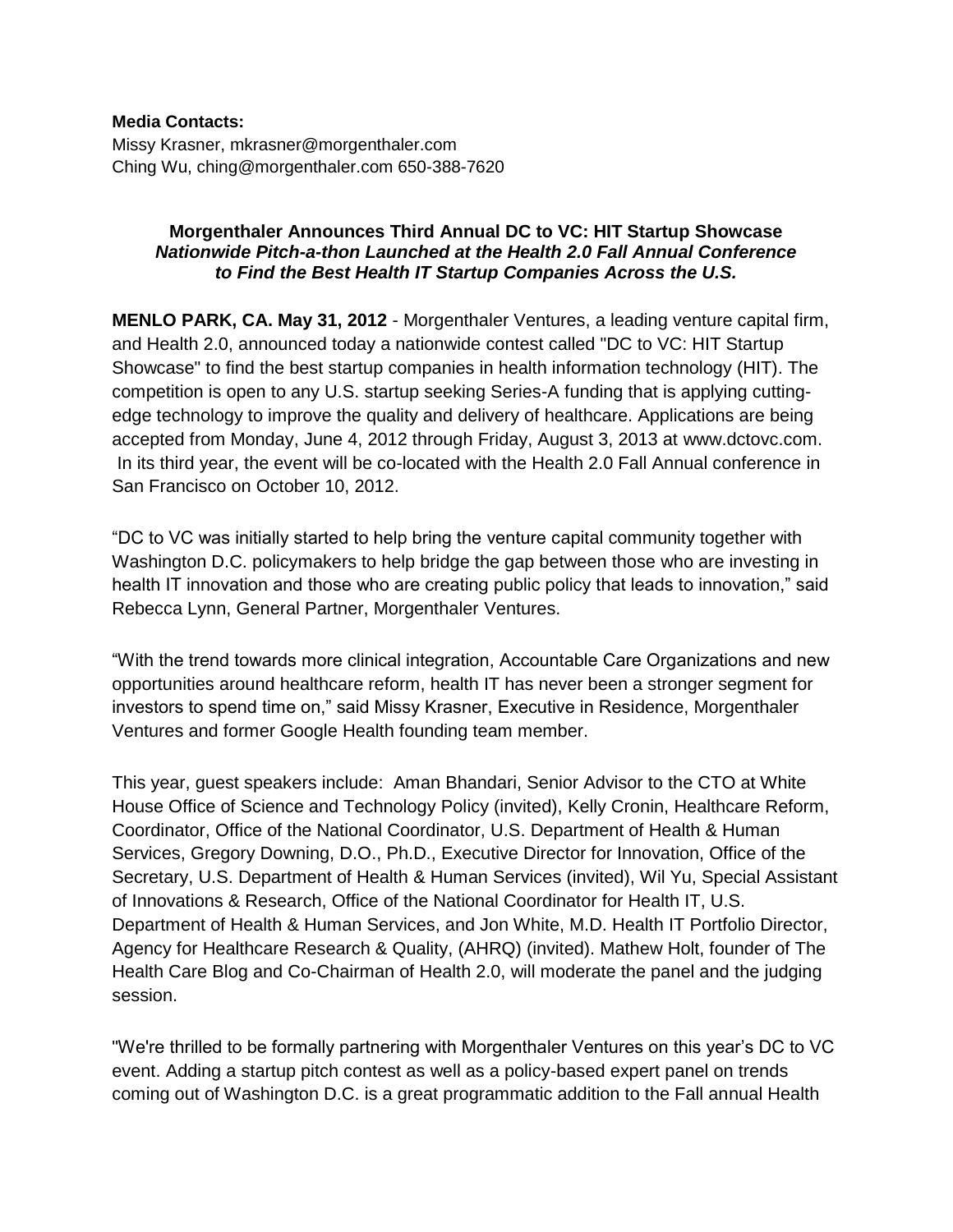#### **Media Contacts:**

Missy Krasner, mkrasner@morgenthaler.com Ching Wu, ching@morgenthaler.com 650-388-7620

#### **Morgenthaler Announces Third Annual DC to VC: HIT Startup Showcase** *Nationwide Pitch-a-thon Launched at the Health 2.0 Fall Annual Conference to Find the Best Health IT Startup Companies Across the U.S.*

**MENLO PARK, CA. May 31, 2012** - Morgenthaler Ventures, a leading venture capital firm, and Health 2.0, announced today a nationwide contest called "DC to VC: HIT Startup Showcase" to find the best startup companies in health information technology (HIT). The competition is open to any U.S. startup seeking Series-A funding that is applying cuttingedge technology to improve the quality and delivery of healthcare. Applications are being accepted from Monday, June 4, 2012 through Friday, August 3, 2013 at www.dctovc.com. In its third year, the event will be co-located with the Health 2.0 Fall Annual conference in San Francisco on October 10, 2012.

"DC to VC was initially started to help bring the venture capital community together with Washington D.C. policymakers to help bridge the gap between those who are investing in health IT innovation and those who are creating public policy that leads to innovation," said Rebecca Lynn, General Partner, Morgenthaler Ventures.

"With the trend towards more clinical integration, Accountable Care Organizations and new opportunities around healthcare reform, health IT has never been a stronger segment for investors to spend time on," said Missy Krasner, Executive in Residence, Morgenthaler Ventures and former Google Health founding team member.

This year, guest speakers include: Aman Bhandari, Senior Advisor to the CTO at White House Office of Science and Technology Policy (invited), Kelly Cronin, Healthcare Reform, Coordinator, Office of the National Coordinator, U.S. Department of Health & Human Services, Gregory Downing, D.O., Ph.D., Executive Director for Innovation, Office of the Secretary, U.S. Department of Health & Human Services (invited), Wil Yu, Special Assistant of Innovations & Research, Office of the National Coordinator for Health IT, U.S. Department of Health & Human Services, and Jon White, M.D. Health IT Portfolio Director, Agency for Healthcare Research & Quality, (AHRQ) (invited). Mathew Holt, founder of The Health Care Blog and Co-Chairman of Health 2.0, will moderate the panel and the judging session.

"We're thrilled to be formally partnering with Morgenthaler Ventures on this year's DC to VC event. Adding a startup pitch contest as well as a policy-based expert panel on trends coming out of Washington D.C. is a great programmatic addition to the Fall annual Health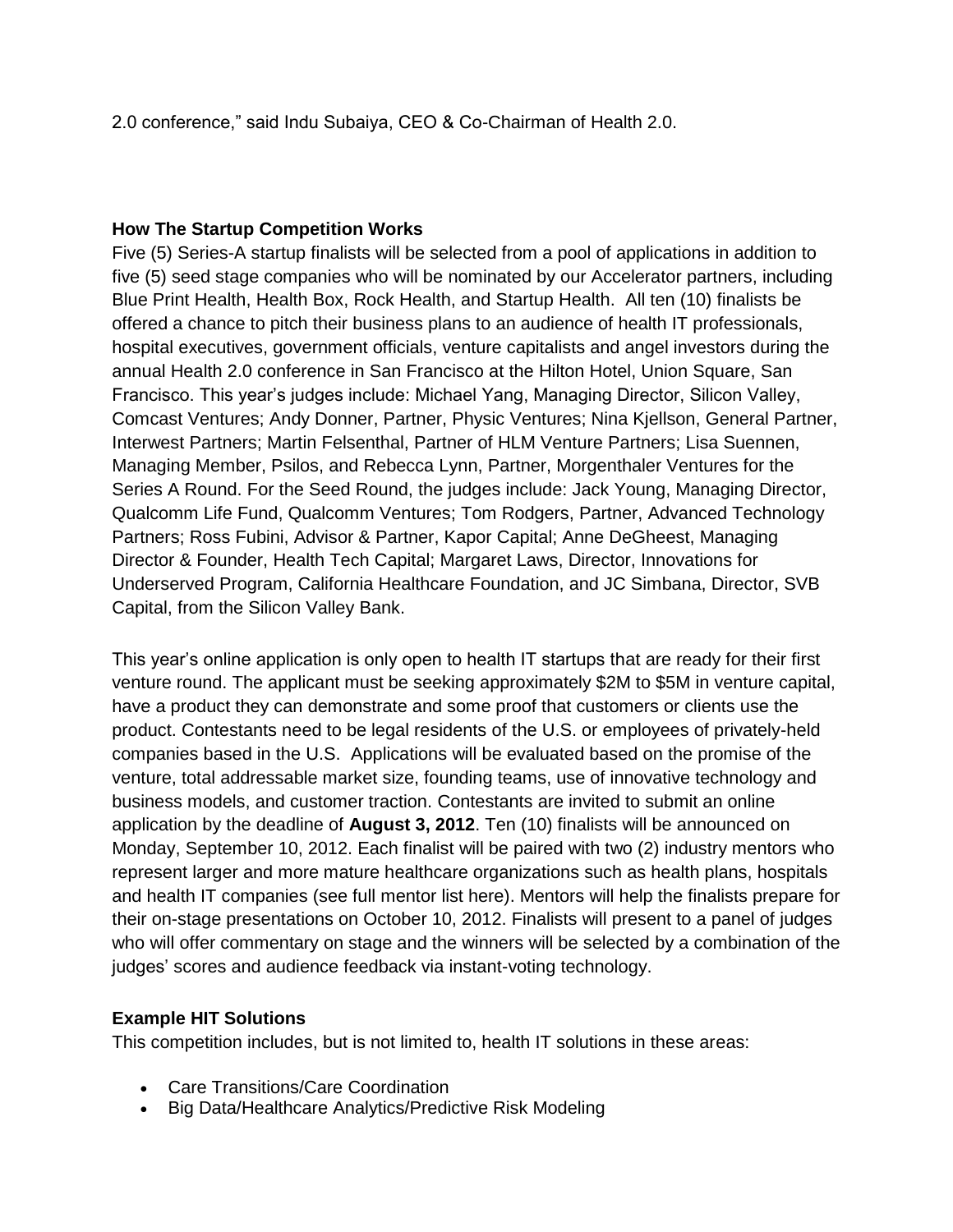2.0 conference," said Indu Subaiya, CEO & Co-Chairman of Health 2.0.

#### **How The Startup Competition Works**

Five (5) Series-A startup finalists will be selected from a pool of applications in addition to five (5) seed stage companies who will be nominated by our Accelerator partners, including Blue Print Health, Health Box, Rock Health, and Startup Health. All ten (10) finalists be offered a chance to pitch their business plans to an audience of health IT professionals, hospital executives, government officials, venture capitalists and angel investors during the annual Health 2.0 conference in San Francisco at the Hilton Hotel, Union Square, San Francisco. This year's judges include: Michael Yang, Managing Director, Silicon Valley, Comcast Ventures; Andy Donner, Partner, Physic Ventures; Nina Kjellson, General Partner, Interwest Partners; Martin Felsenthal, Partner of HLM Venture Partners; Lisa Suennen, Managing Member, Psilos, and Rebecca Lynn, Partner, Morgenthaler Ventures for the Series A Round. For the Seed Round, the judges include: Jack Young, Managing Director, Qualcomm Life Fund, Qualcomm Ventures; Tom Rodgers, Partner, Advanced Technology Partners; Ross Fubini, Advisor & Partner, Kapor Capital; Anne DeGheest, Managing Director & Founder, Health Tech Capital; Margaret Laws, Director, Innovations for Underserved Program, California Healthcare Foundation, and JC Simbana, Director, SVB Capital, from the Silicon Valley Bank.

This year's online application is only open to health IT startups that are ready for their first venture round. The applicant must be seeking approximately \$2M to \$5M in venture capital, have a product they can demonstrate and some proof that customers or clients use the product. Contestants need to be legal residents of the U.S. or employees of privately-held companies based in the U.S. Applications will be evaluated based on the promise of the venture, total addressable market size, founding teams, use of innovative technology and business models, and customer traction. Contestants are invited to submit an online application by the deadline of **August 3, 2012**. Ten (10) finalists will be announced on Monday, September 10, 2012. Each finalist will be paired with two (2) industry mentors who represent larger and more mature healthcare organizations such as health plans, hospitals and health IT companies (see full mentor list here). Mentors will help the finalists prepare for their on-stage presentations on October 10, 2012. Finalists will present to a panel of judges who will offer commentary on stage and the winners will be selected by a combination of the judges' scores and audience feedback via instant-voting technology.

# **Example HIT Solutions**

This competition includes, but is not limited to, health IT solutions in these areas:

- Care Transitions/Care Coordination
- Big Data/Healthcare Analytics/Predictive Risk Modeling